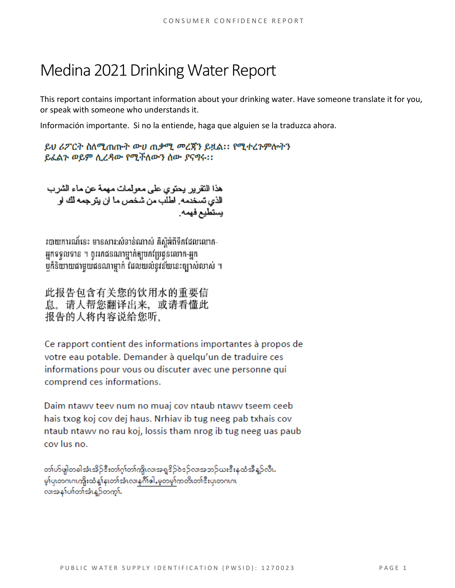# Medina 2021Drinking Water Report

This report contains important information about your drinking water. Have someone translate it for you, or speak with someone who understands it.

Información importante. Si no la entiende, haga que alguien se la traduzca ahora.

ይህ ሪፖርት ስለሚጠጡት ውሀ ጠቃሚ መረጀን ይዟል፡፡ የሚተረጉምሎትን ይፈልጉ ወይም ሊረዳው የሚችለውን ሰው ያናግሩ፡፡

هذا النقر بر يحتوي على معولمات مهمة عن ماء الشرب الذي تسخدمه. اطلب من شخص ما ان يترجمه لك او بستطيع فهمه

របាយការណ៍នេះ មានសារ:សំខាន់ណាស់ គិស្តីអំពីទឹកដែលលោក-អ្នកទទួលទាន ។ ចូររកជនណាម្នាក់ឲ្យបកប្រែជូនលោក-អ្នក បក៏និយាយជាមួយជនណាម្នាក់ ដែលយល់នូវន័យនេះច្បាស់លាស់ ។

此报告包含有关您的饮用水的重要信 息。请人帮您翻译出来, 或请看懂此 报告的人将内容说给您听。

Ce rapport contient des informations importantes à propos de votre eau potable. Demander à quelqu'un de traduire ces informations pour vous ou discuter avec une personne qui comprend ces informations.

Daim ntawy teey num no muaj coy ntaub ntawy tseem ceeb hais txog koj cov dej haus. Nrhiav ib tug neeg pab txhais cov ntaub ntawy no rau koj, lossis tham nrog ib tug neeg uas paub cov lus no.

တၢဴဟ်ဖျါတခါအံ့၊အိုဉ်ဒီးတၢဴဂ္ဂၢ်တၢ်က္ပိုလ၊အရှူဒိုဉ်ဝဲဒဉ်လ၊အဘဉ်ယႏဒီးနုထံအီနဉ်လီ၊. မှာ်ပျတကကကျိုးထံ နှုံန၊တာအီးလာန<sup>္</sup>ဂိါဓါ,မှတမှာ်ကတိ၊တာဒီးပျတဂ၊ဂ၊ လာအနှုပ်ကြတ်အုံးနဉ်တက္ကါ.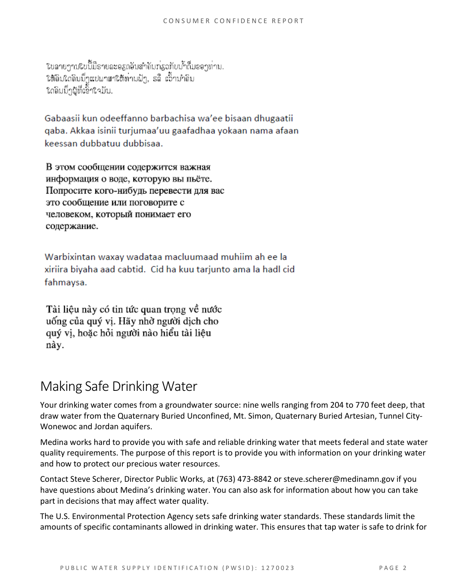ในลายาานในนี้มีรายละอสกอินสำคัญท่องทับน้ำกื่มออาท่าม. ໃຫ້ຄົນໃດຄົນນຶ່ງແປພາສາໃຫ້ທ່ານຟັງ, ຣລື້ ເວົ້ານຳຄົນ ใดลิมมีๆผู้ที่เอ็้าใจมัน.

Gabaasii kun odeeffanno barbachisa wa'ee bisaan dhugaatii gaba. Akkaa isinii turjumaa'uu gaafadhaa yokaan nama afaan keessan dubbatuu dubbisaa.

В этом сообщении содержится важная информация о воде, которую вы пьёте. Попросите кого-нибудь перевести для вас это сообщение или поговорите с человеком, который понимает его содержание.

Warbixintan waxay wadataa macluumaad muhiim ah ee la xiriira biyaha aad cabtid. Cid ha kuu tarjunto ama la hadl cid fahmaysa.

Tài liệu này có tin tức quan trọng về nước uống của quý vị. Hãy nhờ người dịch cho quý vị, hoặc hỏi người nào hiểu tài liệu này.

## Making Safe Drinking Water

Your drinking water comes from a groundwater source: nine wells ranging from 204 to 770 feet deep, that draw water from the Quaternary Buried Unconfined, Mt. Simon, Quaternary Buried Artesian, Tunnel City-Wonewoc and Jordan aquifers.

Medina works hard to provide you with safe and reliable drinking water that meets federal and state water quality requirements. The purpose of this report is to provide you with information on your drinking water and how to protect our precious water resources.

Contact Steve Scherer, Director Public Works, at (763) 473-8842 or steve.scherer@medinamn.gov if you have questions about Medina's drinking water. You can also ask for information about how you can take part in decisions that may affect water quality.

The U.S. Environmental Protection Agency sets safe drinking water standards. These standards limit the amounts of specific contaminants allowed in drinking water. This ensures that tap water is safe to drink for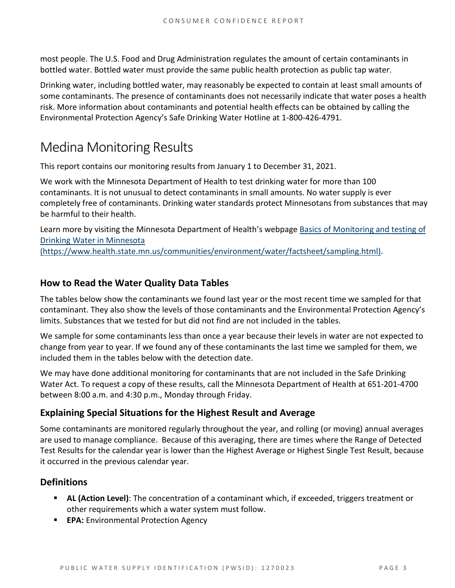most people. The U.S. Food and Drug Administration regulates the amount of certain contaminants in bottled water. Bottled water must provide the same public health protection as public tap water.

Drinking water, including bottled water, may reasonably be expected to contain at least small amounts of some contaminants. The presence of contaminants does not necessarily indicate that water poses a health risk. More information about contaminants and potential health effects can be obtained by calling the Environmental Protection Agency's Safe Drinking Water Hotline at 1-800-426-4791.

# Medina Monitoring Results

This report contains our monitoring results from January 1 to December 31, 2021.

We work with the Minnesota Department of Health to test drinking water for more than 100 contaminants. It is not unusual to detect contaminants in small amounts. No water supply is ever completely free of contaminants. Drinking water standards protect Minnesotans from substances that may be harmful to their health.

Learn more by visiting the Minnesota Department of Health's webpage [Basics of Monitoring and testing of](https://www.health.state.mn.us/communities/environment/water/factsheet/sampling.html)  [Drinking Water in Minnesota](https://www.health.state.mn.us/communities/environment/water/factsheet/sampling.html)  [\(https://www.health.state.mn.us/communities/environment/water/factsheet/sampling.html\).](https://www.health.state.mn.us/communities/environment/water/factsheet/sampling.html)

#### **How to Read the Water Quality Data Tables**

The tables below show the contaminants we found last year or the most recent time we sampled for that contaminant. They also show the levels of those contaminants and the Environmental Protection Agency's limits. Substances that we tested for but did not find are not included in the tables.

We sample for some contaminants less than once a year because their levels in water are not expected to change from year to year. If we found any of these contaminants the last time we sampled for them, we included them in the tables below with the detection date.

We may have done additional monitoring for contaminants that are not included in the Safe Drinking Water Act. To request a copy of these results, call the Minnesota Department of Health at 651-201-4700 between 8:00 a.m. and 4:30 p.m., Monday through Friday.

#### **Explaining Special Situations for the Highest Result and Average**

Some contaminants are monitored regularly throughout the year, and rolling (or moving) annual averages are used to manage compliance. Because of this averaging, there are times where the Range of Detected Test Results for the calendar year is lower than the Highest Average or Highest Single Test Result, because it occurred in the previous calendar year.

#### **Definitions**

- **AL (Action Level)**: The concentration of a contaminant which, if exceeded, triggers treatment or other requirements which a water system must follow.
- **EPA:** Environmental Protection Agency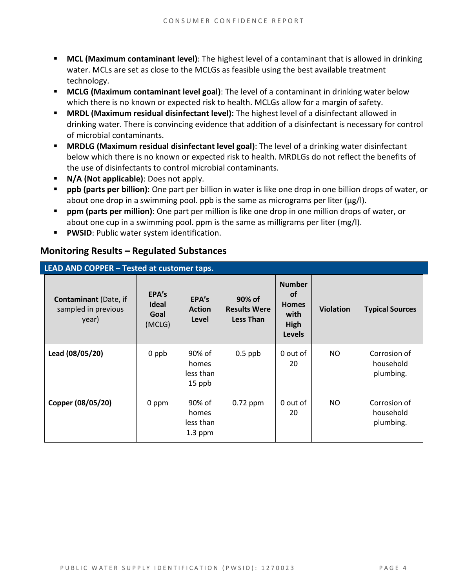- **MCL (Maximum contaminant level)**: The highest level of a contaminant that is allowed in drinking water. MCLs are set as close to the MCLGs as feasible using the best available treatment technology.
- **MCLG (Maximum contaminant level goal)**: The level of a contaminant in drinking water below which there is no known or expected risk to health. MCLGs allow for a margin of safety.
- **MRDL (Maximum residual disinfectant level):** The highest level of a disinfectant allowed in drinking water. There is convincing evidence that addition of a disinfectant is necessary for control of microbial contaminants.
- **MRDLG (Maximum residual disinfectant level goal)**: The level of a drinking water disinfectant below which there is no known or expected risk to health. MRDLGs do not reflect the benefits of the use of disinfectants to control microbial contaminants.
- **N/A (Not applicable)**: Does not apply.
- **ppb (parts per billion)**: One part per billion in water is like one drop in one billion drops of water, or about one drop in a swimming pool. ppb is the same as micrograms per liter (μg/l).
- **ppm (parts per million)**: One part per million is like one drop in one million drops of water, or about one cup in a swimming pool. ppm is the same as milligrams per liter (mg/l).
- **PWSID:** Public water system identification.

#### **Monitoring Results – Regulated Substances**

| LEAD AND COPPER - Tested at customer taps.                   |                                         |                                           |                                                   |                                                                             |                  |                                        |
|--------------------------------------------------------------|-----------------------------------------|-------------------------------------------|---------------------------------------------------|-----------------------------------------------------------------------------|------------------|----------------------------------------|
| <b>Contaminant</b> (Date, if<br>sampled in previous<br>year) | EPA's<br><b>Ideal</b><br>Goal<br>(MCLG) | EPA's<br><b>Action</b><br>Level           | 90% of<br><b>Results Were</b><br><b>Less Than</b> | <b>Number</b><br><b>of</b><br><b>Homes</b><br>with<br>High<br><b>Levels</b> | <b>Violation</b> | <b>Typical Sources</b>                 |
| Lead (08/05/20)                                              | 0 ppb                                   | 90% of<br>homes<br>less than<br>15 ppb    | $0.5$ ppb                                         | 0 out of<br>20                                                              | NO               | Corrosion of<br>household<br>plumbing. |
| Copper (08/05/20)                                            | 0 ppm                                   | 90% of<br>homes<br>less than<br>$1.3$ ppm | $0.72$ ppm                                        | 0 out of<br>20                                                              | NO               | Corrosion of<br>household<br>plumbing. |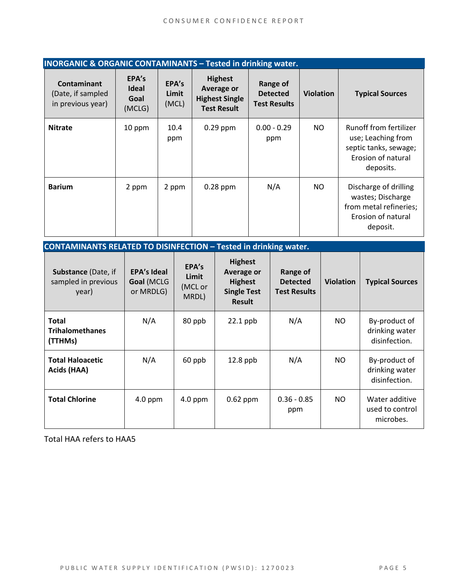| <b>INORGANIC &amp; ORGANIC CONTAMINANTS - Tested in drinking water.</b> |                                         |                         |                                                                             |                                                    |                  |                                                                                                          |
|-------------------------------------------------------------------------|-----------------------------------------|-------------------------|-----------------------------------------------------------------------------|----------------------------------------------------|------------------|----------------------------------------------------------------------------------------------------------|
| <b>Contaminant</b><br>(Date, if sampled<br>in previous year)            | EPA's<br><b>Ideal</b><br>Goal<br>(MCLG) | EPA's<br>Limit<br>(MCL) | <b>Highest</b><br>Average or<br><b>Highest Single</b><br><b>Test Result</b> | Range of<br><b>Detected</b><br><b>Test Results</b> | <b>Violation</b> | <b>Typical Sources</b>                                                                                   |
| <b>Nitrate</b>                                                          | 10 ppm                                  | 10.4<br>ppm             | $0.29$ ppm                                                                  | $0.00 - 0.29$<br>ppm                               | NO               | Runoff from fertilizer<br>use; Leaching from<br>septic tanks, sewage;<br>Erosion of natural<br>deposits. |
| <b>Barium</b>                                                           | 2 ppm                                   | 2 ppm                   | $0.28$ ppm                                                                  | N/A                                                | NO.              | Discharge of drilling<br>wastes; Discharge<br>from metal refineries;<br>Erosion of natural<br>deposit.   |

**CONTAMINANTS RELATED TO DISINFECTION – Tested in drinking water. Substance** (Date, if sampled in previous year) **EPA's Ideal Goal** (MCLG or MRDLG) **EPA's Limit**  (MCL or MRDL) **Highest Average or Highest Single Test Result Range of Detected Test Results Violation Typical Sources Total Trihalomethanes (TTHMs)**  $N/A$  | 80 ppb | 22.1 ppb |  $N/A$  | NO | By-product of drinking water disinfection. **Total Haloacetic Acids (HAA)** N/A 60 ppb 12.8 ppb N/A NO By-product of drinking water disinfection. **Total Chlorine**  $\begin{array}{|c|c|c|c|c|} \hline \end{array}$  4.0 ppm  $\begin{array}{|c|c|c|c|c|} \hline \end{array}$  4.0 ppm  $\begin{array}{|c|c|c|c|c|} \hline \end{array}$  0.62 ppm  $\begin{array}{|c|c|c|c|c|c|} \hline \end{array}$  0.36 - 0.85 ppm NO Water additive used to control microbes.

Total HAA refers to HAA5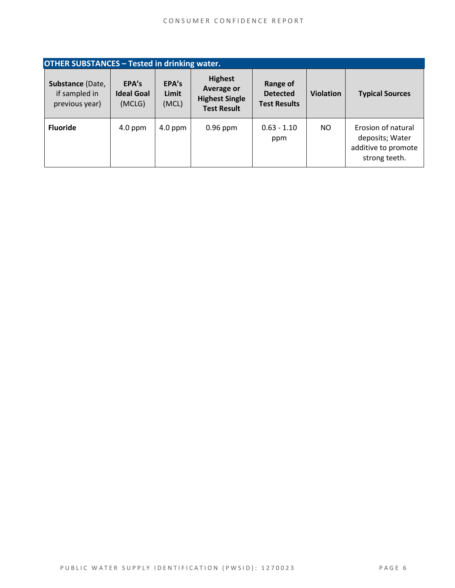| <b>OTHER SUBSTANCES - Tested in drinking water.</b> |                                      |                         |                                                                                    |                                                    |                  |                                                                               |
|-----------------------------------------------------|--------------------------------------|-------------------------|------------------------------------------------------------------------------------|----------------------------------------------------|------------------|-------------------------------------------------------------------------------|
| Substance (Date,<br>if sampled in<br>previous year) | EPA's<br><b>Ideal Goal</b><br>(MCLG) | EPA's<br>Limit<br>(MCL) | <b>Highest</b><br><b>Average or</b><br><b>Highest Single</b><br><b>Test Result</b> | Range of<br><b>Detected</b><br><b>Test Results</b> | <b>Violation</b> | <b>Typical Sources</b>                                                        |
| <b>Fluoride</b>                                     | $4.0$ ppm                            | $4.0$ ppm               | $0.96$ ppm                                                                         | $0.63 - 1.10$<br>ppm                               | NO.              | Erosion of natural<br>deposits; Water<br>additive to promote<br>strong teeth. |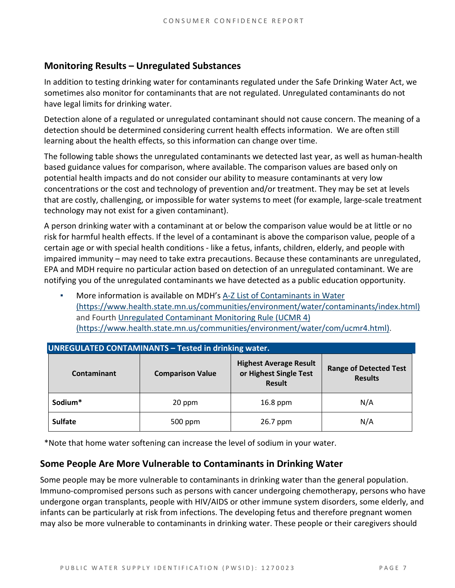#### **Monitoring Results – Unregulated Substances**

In addition to testing drinking water for contaminants regulated under the Safe Drinking Water Act, we sometimes also monitor for contaminants that are not regulated. Unregulated contaminants do not have legal limits for drinking water.

Detection alone of a regulated or unregulated contaminant should not cause concern. The meaning of a detection should be determined considering current health effects information. We are often still learning about the health effects, so this information can change over time.

The following table shows the unregulated contaminants we detected last year, as well as human-health based guidance values for comparison, where available. The comparison values are based only on potential health impacts and do not consider our ability to measure contaminants at very low concentrations or the cost and technology of prevention and/or treatment. They may be set at levels that are costly, challenging, or impossible for water systems to meet (for example, large-scale treatment technology may not exist for a given contaminant).

A person drinking water with a contaminant at or below the comparison value would be at little or no risk for harmful health effects. If the level of a contaminant is above the comparison value, people of a certain age or with special health conditions - like a fetus, infants, children, elderly, and people with impaired immunity – may need to take extra precautions. Because these contaminants are unregulated, EPA and MDH require no particular action based on detection of an unregulated contaminant. We are notifying you of the unregulated contaminants we have detected as a public education opportunity.

More information is available on MDH's A-Z List of Contaminants in Water [\(https://www.health.state.mn.us/communities/environment/water/contaminants/index.html\)](https://www.health.state.mn.us/communities/environment/water/contaminants/index.html) and Fourth [Unregulated Contaminant Monitoring Rule \(UCMR 4\)](https://www.health.state.mn.us/communities/environment/water/com/ucmr4.html)  [\(https://www.health.state.mn.us/communities/environment/water/com/ucmr4.html\).](https://www.health.state.mn.us/communities/environment/water/com/ucmr4.html)

| <b>UNREGULATED CONTAMINANTS - Tested in drinking water.</b> |                         |                                                                          |                                                 |  |  |  |  |
|-------------------------------------------------------------|-------------------------|--------------------------------------------------------------------------|-------------------------------------------------|--|--|--|--|
| Contaminant                                                 | <b>Comparison Value</b> | <b>Highest Average Result</b><br>or Highest Single Test<br><b>Result</b> | <b>Range of Detected Test</b><br><b>Results</b> |  |  |  |  |
| Sodium*                                                     | 20 ppm                  | 16.8 ppm                                                                 | N/A                                             |  |  |  |  |
| <b>Sulfate</b>                                              | 500 ppm                 | 26.7 ppm                                                                 | N/A                                             |  |  |  |  |

\*Note that home water softening can increase the level of sodium in your water.

#### **Some People Are More Vulnerable to Contaminants in Drinking Water**

Some people may be more vulnerable to contaminants in drinking water than the general population. Immuno-compromised persons such as persons with cancer undergoing chemotherapy, persons who have undergone organ transplants, people with HIV/AIDS or other immune system disorders, some elderly, and infants can be particularly at risk from infections. The developing fetus and therefore pregnant women may also be more vulnerable to contaminants in drinking water. These people or their caregivers should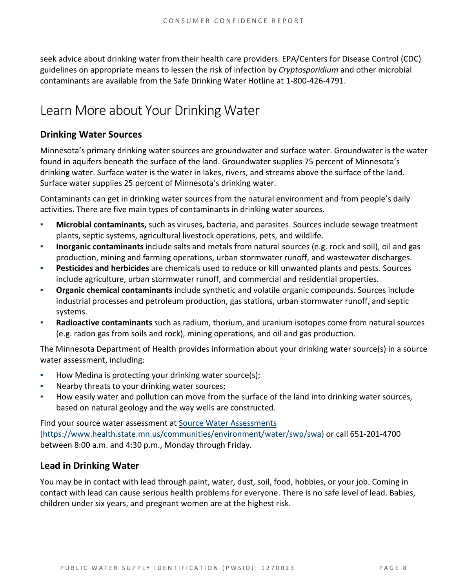seek advice about drinking water from their health care providers. EPA/Centers for Disease Control (CDC) guidelines on appropriate means to lessen the risk of infection by *Cryptosporidium* and other microbial contaminants are available from the Safe Drinking Water Hotline at 1-800-426-4791.

# Learn More about Your Drinking Water

#### **Drinking Water Sources**

Minnesota's primary drinking water sources are groundwater and surface water. Groundwater is the water found in aquifers beneath the surface of the land. Groundwater supplies 75 percent of Minnesota's drinking water. Surface water is the water in lakes, rivers, and streams above the surface of the land. Surface water supplies 25 percent of Minnesota's drinking water.

Contaminants can get in drinking water sources from the natural environment and from people's daily activities. There are five main types of contaminants in drinking water sources.

- **Microbial contaminants,** such as viruses, bacteria, and parasites. Sources include sewage treatment plants, septic systems, agricultural livestock operations, pets, and wildlife.
- **Inorganic contaminants** include salts and metals from natural sources (e.g. rock and soil), oil and gas production, mining and farming operations, urban stormwater runoff, and wastewater discharges.
- **Pesticides and herbicides** are chemicals used to reduce or kill unwanted plants and pests. Sources include agriculture, urban stormwater runoff, and commercial and residential properties.
- **Organic chemical contaminants** include synthetic and volatile organic compounds. Sources include industrial processes and petroleum production, gas stations, urban stormwater runoff, and septic systems.
- **Radioactive contaminants** such as radium, thorium, and uranium isotopes come from natural sources (e.g. radon gas from soils and rock), mining operations, and oil and gas production.

The Minnesota Department of Health provides information about your drinking water source(s) in a source water assessment, including:

- How Medina is protecting your drinking water source(s);
- Nearby threats to your drinking water sources;
- How easily water and pollution can move from the surface of the land into drinking water sources, based on natural geology and the way wells are constructed.

Find your source water assessment a[t Source Water Assessments](https://www.health.state.mn.us/communities/environment/water/swp/swa)  [\(https://www.health.state.mn.us/communities/environment/water/swp/swa\)](https://www.health.state.mn.us/communities/environment/water/swp/swa) or call 651-201-4700 between 8:00 a.m. and 4:30 p.m., Monday through Friday.

#### **Lead in Drinking Water**

You may be in contact with lead through paint, water, dust, soil, food, hobbies, or your job. Coming in contact with lead can cause serious health problems for everyone. There is no safe level of lead. Babies, children under six years, and pregnant women are at the highest risk.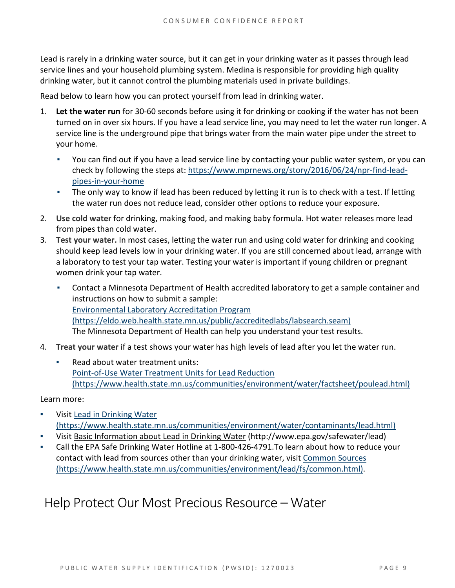Lead is rarely in a drinking water source, but it can get in your drinking water as it passes through lead service lines and your household plumbing system. Medina is responsible for providing high quality drinking water, but it cannot control the plumbing materials used in private buildings.

Read below to learn how you can protect yourself from lead in drinking water.

- 1. **Let the water run** for 30-60 seconds before using it for drinking or cooking if the water has not been turned on in over six hours. If you have a lead service line, you may need to let the water run longer. A service line is the underground pipe that brings water from the main water pipe under the street to your home.
	- You can find out if you have a lead service line by contacting your public water system, or you can check by following the steps at: [https://www.mprnews.org/story/2016/06/24/npr-find-lead](https://www.mprnews.org/story/2016/06/24/npr-find-lead-pipes-in-your-home)[pipes-in-your-home](https://www.mprnews.org/story/2016/06/24/npr-find-lead-pipes-in-your-home)
	- **•** The only way to know if lead has been reduced by letting it run is to check with a test. If letting the water run does not reduce lead, consider other options to reduce your exposure.
- 2. **Use cold water** for drinking, making food, and making baby formula. Hot water releases more lead from pipes than cold water.
- 3. **Test your water.** In most cases, letting the water run and using cold water for drinking and cooking should keep lead levels low in your drinking water. If you are still concerned about lead, arrange with a laboratory to test your tap water. Testing your water is important if young children or pregnant women drink your tap water.
	- Contact a Minnesota Department of Health accredited laboratory to get a sample container and instructions on how to submit a sample: [Environmental Laboratory Accreditation Program](https://eldo.web.health.state.mn.us/public/accreditedlabs/labsearch.seam)  [\(https://eldo.web.health.state.mn.us/public/accreditedlabs/labsearch.seam\)](https://eldo.web.health.state.mn.us/public/accreditedlabs/labsearch.seam)  The Minnesota Department of Health can help you understand your test results.
- 4. **Treat your water** if a test shows your water has high levels of lead after you let the water run.
	- Read about water treatment units: [Point-of-Use Water Treatment Units for Lead Reduction](https://www.health.state.mn.us/communities/environment/water/factsheet/poulead.html)  [\(https://www.health.state.mn.us/communities/environment/water/factsheet/poulead.html\)](https://www.health.state.mn.us/communities/environment/water/factsheet/poulead.html)

Learn more:

- Visit Lead in Drinking Water [\(https://www.health.state.mn.us/communities/environment/water/contaminants/lead.html\)](https://www.health.state.mn.us/communities/environment/water/contaminants/lead.html)
- Visit [Basic Information about Lead in Drinking Water](http://www.epa.gov/safewater/lead) (http://www.epa.gov/safewater/lead)
- Call the EPA Safe Drinking Water Hotline at 1-800-426-4791. To learn about how to reduce your contact with lead from sources other than your drinking water, visi[t Common Sources](https://www.health.state.mn.us/communities/environment/lead/fs/common.html)  [\(https://www.health.state.mn.us/communities/environment/lead/fs/common.html\).](https://www.health.state.mn.us/communities/environment/lead/fs/common.html)

## Help Protect Our Most Precious Resource – Water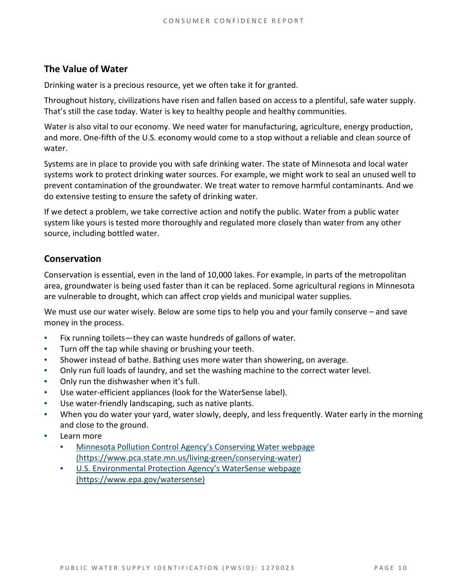#### **The Value of Water**

Drinking water is a precious resource, yet we often take it for granted.

Throughout history, civilizations have risen and fallen based on access to a plentiful, safe water supply. That's still the case today. Water is key to healthy people and healthy communities.

Water is also vital to our economy. We need water for manufacturing, agriculture, energy production, and more. One-fifth of the U.S. economy would come to a stop without a reliable and clean source of water.

Systems are in place to provide you with safe drinking water. The state of Minnesota and local water systems work to protect drinking water sources. For example, we might work to seal an unused well to prevent contamination of the groundwater. We treat water to remove harmful contaminants. And we do extensive testing to ensure the safety of drinking water.

If we detect a problem, we take corrective action and notify the public. Water from a public water system like yours is tested more thoroughly and regulated more closely than water from any other source, including bottled water.

#### **Conservation**

Conservation is essential, even in the land of 10,000 lakes. For example, in parts of the metropolitan area, groundwater is being used faster than it can be replaced. Some agricultural regions in Minnesota are vulnerable to drought, which can affect crop yields and municipal water supplies.

We must use our water wisely. Below are some tips to help you and your family conserve – and save money in the process.

- Fix running toilets—they can waste hundreds of gallons of water.
- Turn off the tap while shaving or brushing your teeth.
- Shower instead of bathe. Bathing uses more water than showering, on average.
- Only run full loads of laundry, and set the washing machine to the correct water level.
- Only run the dishwasher when it's full.
- Use water-efficient appliances (look for the WaterSense label).
- Use water-friendly landscaping, such as native plants.
- When you do water your yard, water slowly, deeply, and less frequently. Water early in the morning and close to the ground.
- Learn more
	- Minnesota Pollution Control Agency's Conserving Water webpage [\(https://www.pca.state.mn.us/living-green/conserving-water\)](https://www.pca.state.mn.us/living-green/conserving-water)
	- [U.S. Environmental Protection Agency's WaterSense webpage](https://www.epa.gov/watersense)  [\(https://www.epa.gov/watersense\)](https://www.epa.gov/watersense)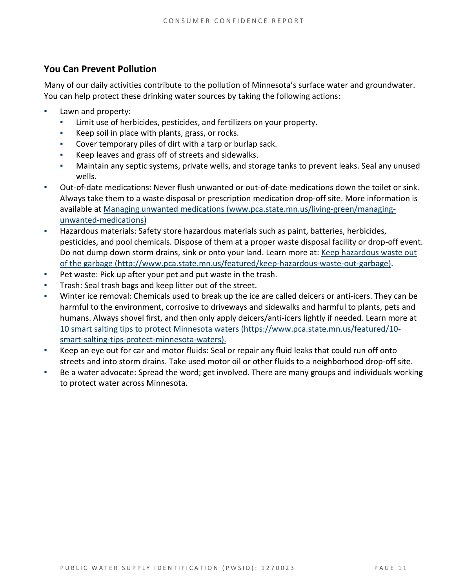#### **You Can Prevent Pollution**

Many of our daily activities contribute to the pollution of Minnesota's surface water and groundwater. You can help protect these drinking water sources by taking the following actions:

- Lawn and property:
	- Limit use of herbicides, pesticides, and fertilizers on your property.
	- Keep soil in place with plants, grass, or rocks.
	- Cover temporary piles of dirt with a tarp or burlap sack.
	- Keep leaves and grass off of streets and sidewalks.
	- Maintain any septic systems, private wells, and storage tanks to prevent leaks. Seal any unused wells.
- Out-of-date medications: Never flush unwanted or out-of-date medications down the toilet or sink. Always take them to a waste disposal or prescription medication drop-off site. More information is available at [Managing unwanted medications \(www.pca.state.mn.us/living-green/managing](http://www.pca.state.mn.us/living-green/managing-unwanted-medications)[unwanted-medications\)](http://www.pca.state.mn.us/living-green/managing-unwanted-medications)
- Hazardous materials: Safety store hazardous materials such as paint, batteries, herbicides, pesticides, and pool chemicals. Dispose of them at a proper waste disposal facility or drop-off event. Do not dump down storm drains, sink or onto your land. Learn more at: [Keep hazardous waste](http://www.pca.state.mn.us/featured/keep-hazardous-waste-out-garbage) out [of the garbage \(http://www.pca.state.mn.us/featured/keep-hazardous-waste-out-garbage\).](http://www.pca.state.mn.us/featured/keep-hazardous-waste-out-garbage)
- Pet waste: Pick up after your pet and put waste in the trash.
- Trash: Seal trash bags and keep litter out of the street.
- Winter ice removal: Chemicals used to break up the ice are called deicers or anti-icers. They can be harmful to the environment, corrosive to driveways and sidewalks and harmful to plants, pets and humans. Always shovel first, and then only apply deicers/anti-icers lightly if needed. Learn more at [10 smart salting tips to protect Minnesota waters \(https://www.pca.state.mn.us/featured/10](https://www.pca.state.mn.us/featured/10-smart-salting-tips-protect-minnesota-waters) [smart-salting-tips-protect-minnesota-waters\).](https://www.pca.state.mn.us/featured/10-smart-salting-tips-protect-minnesota-waters)
- Keep an eye out for car and motor fluids: Seal or repair any fluid leaks that could run off onto streets and into storm drains. Take used motor oil or other fluids to a neighborhood drop-off site.
- Be a water advocate: Spread the word; get involved. There are many groups and individuals working to protect water across Minnesota.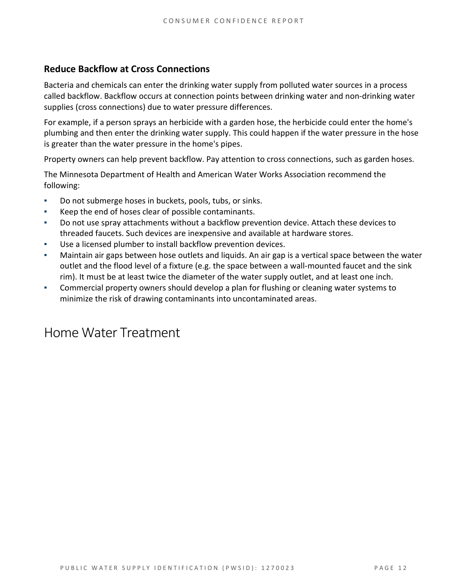#### **Reduce Backflow at Cross Connections**

Bacteria and chemicals can enter the drinking water supply from polluted water sources in a process called backflow. Backflow occurs at connection points between drinking water and non-drinking water supplies (cross connections) due to water pressure differences.

For example, if a person sprays an herbicide with a garden hose, the herbicide could enter the home's plumbing and then enter the drinking water supply. This could happen if the water pressure in the hose is greater than the water pressure in the home's pipes.

Property owners can help prevent backflow. Pay attention to cross connections, such as garden hoses.

The Minnesota Department of Health and American Water Works Association recommend the following:

- Do not submerge hoses in buckets, pools, tubs, or sinks.
- Keep the end of hoses clear of possible contaminants.
- Do not use spray attachments without a backflow prevention device. Attach these devices to threaded faucets. Such devices are inexpensive and available at hardware stores.
- Use a licensed plumber to install backflow prevention devices.
- Maintain air gaps between hose outlets and liquids. An air gap is a vertical space between the water outlet and the flood level of a fixture (e.g. the space between a wall-mounted faucet and the sink rim). It must be at least twice the diameter of the water supply outlet, and at least one inch.
- Commercial property owners should develop a plan for flushing or cleaning water systems to minimize the risk of drawing contaminants into uncontaminated areas.

### Home Water Treatment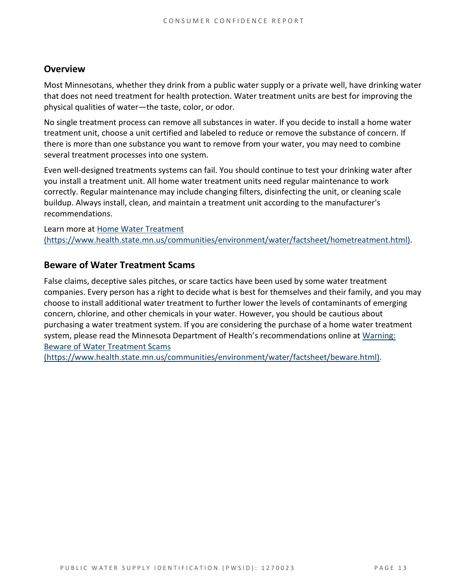#### **Overview**

Most Minnesotans, whether they drink from a public water supply or a private well, have drinking water that does not need treatment for health protection. Water treatment units are best for improving the physical qualities of water—the taste, color, or odor.

No single treatment process can remove all substances in water. If you decide to install a home water treatment unit, choose a unit certified and labeled to reduce or remove the substance of concern. If there is more than one substance you want to remove from your water, you may need to combine several treatment processes into one system.

Even well-designed treatments systems can fail. You should continue to test your drinking water after you install a treatment unit. All home water treatment units need regular maintenance to work correctly. Regular maintenance may include changing filters, disinfecting the unit, or cleaning scale buildup. Always install, clean, and maintain a treatment unit according to the manufacturer's recommendations.

Learn more at [Home Water Treatment](https://www.health.state.mn.us/communities/environment/water/factsheet/hometreatment.html)  [\(https://www.health.state.mn.us/communities/environment/water/factsheet/hometreatment.html\).](https://www.health.state.mn.us/communities/environment/water/factsheet/hometreatment.html)

#### **Beware of Water Treatment Scams**

False claims, deceptive sales pitches, or scare tactics have been used by some water treatment companies. Every person has a right to decide what is best for themselves and their family, and you may choose to install additional water treatment to further lower the levels of contaminants of emerging concern, chlorine, and other chemicals in your water. However, you should be cautious about purchasing a water treatment system. If you are considering the purchase of a home water treatment system, please read the Minnesota Department of Health's recommendations online at [Warning:](https://www.health.state.mn.us/communities/environment/water/factsheet/beware.html)  [Beware of Water Treatment Scams](https://www.health.state.mn.us/communities/environment/water/factsheet/beware.html) 

[\(https://www.health.state.mn.us/communities/environment/water/factsheet/beware.html\).](https://www.health.state.mn.us/communities/environment/water/factsheet/beware.html)